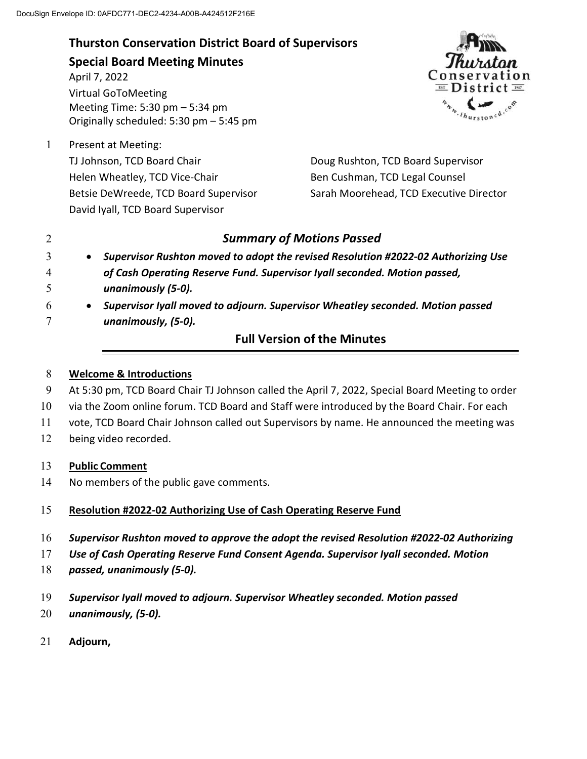**Thurston Conservation District Board of Supervisors Special Board Meeting Minutes** April 7, 2022 Virtual GoToMeeting Meeting Time: 5:30 pm – 5:34 pm Originally scheduled: 5:30 pm – 5:45 pm

1 Present at Meeting: TJ Johnson, TCD Board Chair Helen Wheatley, TCD Vice-Chair Betsie DeWreede, TCD Board Supervisor David Iyall, TCD Board Supervisor



Doug Rushton, TCD Board Supervisor Ben Cushman, TCD Legal Counsel Sarah Moorehead, TCD Executive Director

# 2 *Summary of Motions Passed*

- 3 *Supervisor Rushton moved to adopt the revised Resolution #2022-02 Authorizing Use*
- 4 *of Cash Operating Reserve Fund. Supervisor Iyall seconded. Motion passed,*  5 *unanimously (5-0).*
- 6 *Supervisor Iyall moved to adjourn. Supervisor Wheatley seconded. Motion passed*  7 *unanimously, (5-0).*

# **Full Version of the Minutes**

## 8 **Welcome & Introductions**

- 9 At 5:30 pm, TCD Board Chair TJ Johnson called the April 7, 2022, Special Board Meeting to order
- 10 via the Zoom online forum. TCD Board and Staff were introduced by the Board Chair. For each
- 11 vote, TCD Board Chair Johnson called out Supervisors by name. He announced the meeting was
- 12 being video recorded.

# 13 **Public Comment**

14 No members of the public gave comments.

# 15 **Resolution #2022-02 Authorizing Use of Cash Operating Reserve Fund**

- 16 *Supervisor Rushton moved to approve the adopt the revised Resolution #2022-02 Authorizing*
- 17 *Use of Cash Operating Reserve Fund Consent Agenda. Supervisor Iyall seconded. Motion*
- 18 *passed, unanimously (5-0).*
- 19 *Supervisor Iyall moved to adjourn. Supervisor Wheatley seconded. Motion passed*
- 20 *unanimously, (5-0).*
- 21 **Adjourn,**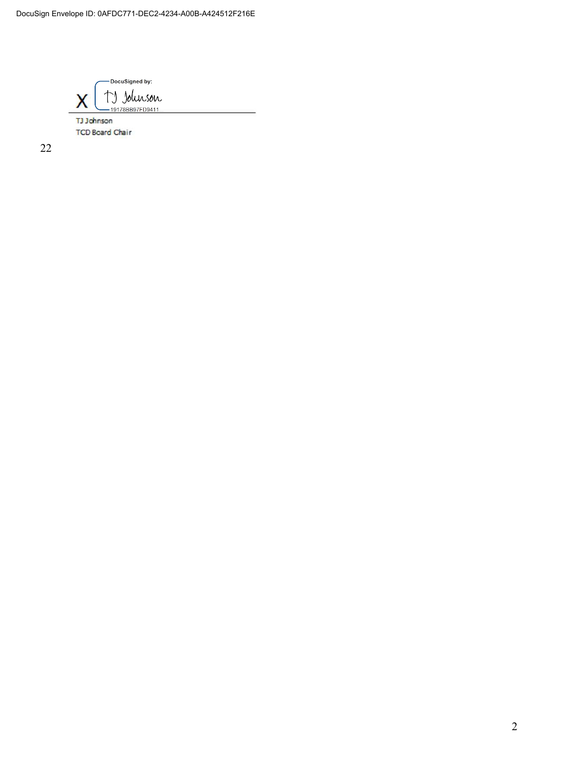DocuSigned by: TJ Johnson Χ -19178BB97FD9411 TJ Johnson

**TCD Board Chair** 

22